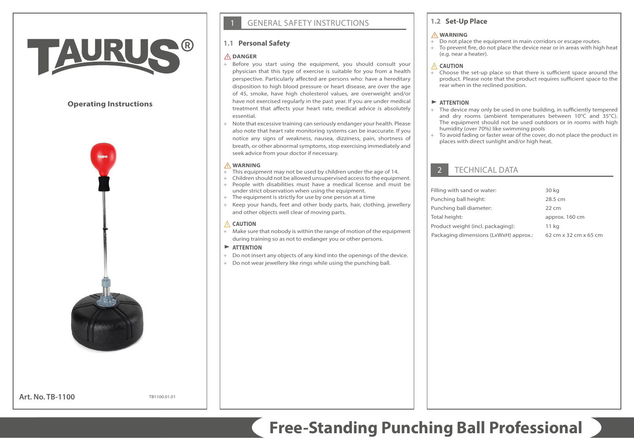# TAUR

# **Operating Instructions**



**Art. No. TB-1100**

TB1100.01.01

# **GENERAL SAFETY INSTRUCTIONS**

# **1.1 Personal Safety**

## ⚠**DANGER**

- + Before you start using the equipment, you should consult your physician that this type of exercise is suitable for you from a health perspective. Particularly affected are persons who: have a hereditary disposition to high blood pressure or heart disease, are over the age of 45, smoke, have high cholesterol values, are overweight and/or have not exercised regularly in the past year. If you are under medical treatment that affects your heart rate, medical advice is absolutely essential.
- + Note that excessive training can seriously endanger your health. Please also note that heart rate monitoring systems can be inaccurate. If you notice any signs of weakness, nausea, dizziness, pain, shortness of breath, or other abnormal symptoms, stop exercising immediately and seek advice from your doctor if necessary.

#### ⚠**WARNING**

- $+$  This equipment may not be used by children under the age of 14.
- + Children should not be allowed unsupervised access to the equipment. + People with disabilities must have a medical license and must be
- under strict observation when using the equipment. + The equipment is strictly for use by one person at a time
- 
- + Keep your hands, feet and other body parts, hair, clothing, jewellery and other objects well clear of moving parts.

## ⚠ **CAUTION**

+ Make sure that nobody is within the range of motion of the equipment during training so as not to endanger you or other persons.

#### $\blacktriangleright$  **ATTENTION**

- + Do not insert any objects of any kind into the openings of the device.
- + Do not wear jewellery like rings while using the punching ball.

# **1.2 Set-Up Place**

#### ⚠**WARNING**

- + Do not place the equipment in main corridors or escape routes.
- + To prevent fire, do not place the device near or in areas with high heat (e.g. near a heater).

## ⚠ **CAUTION**

+ Choose the set-up place so that there is sufficient space around the product. Please note that the product requires sufficient space to the rear when in the reclined position.

## $\blacktriangleright$  **ATTENTION**

- + The device may only be used in one building, in sufficiently tempered and dry rooms (ambient temperatures between 10°C and 35°C). The equipment should not be used outdoors or in rooms with high humidity (over 70%) like swimming pools
- + To avoid fading or faster wear of the cover, do not place the product in places with direct sunlight and/or high heat.

# **TECHNICAL DATA**

| Filling with sand or water:           | 30 kg                 |
|---------------------------------------|-----------------------|
| Punching ball height:                 | 28.5 cm               |
| Punching ball diameter:               | $22 \text{ cm}$       |
| Total height:                         | approx. 160 cm        |
| Product weight (incl. packaging):     | 11 kg                 |
| Packaging dimensions (LxWxH) approx.: | 62 cm x 32 cm x 65 cm |

**Free-Standing Punching Ball Professional**